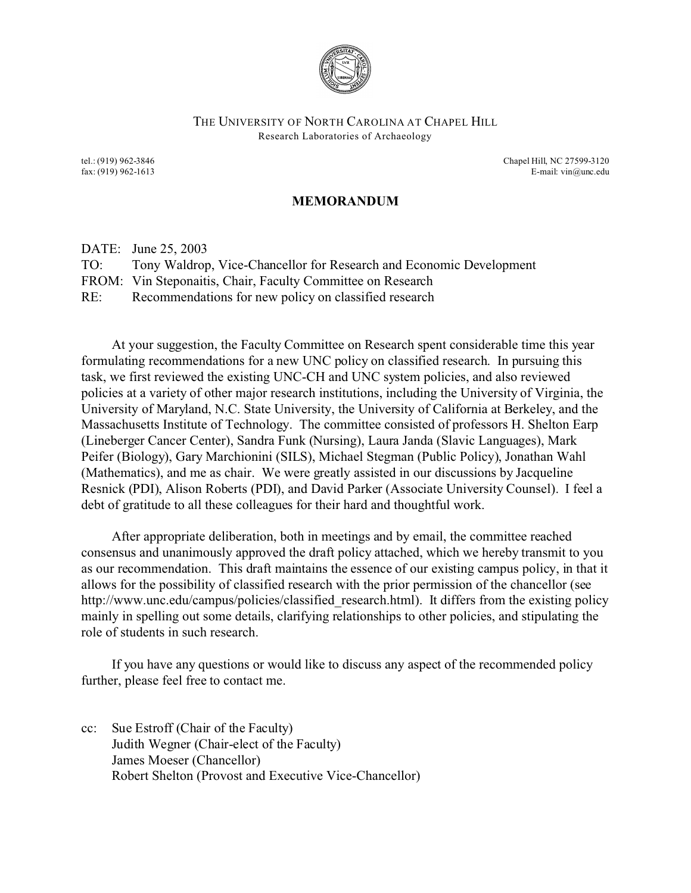

## THE UNIVERSITY OF NORTH CAROLINA AT CHAPEL HILL Research Laboratories of Archaeology

tel.: (919) 962-3846 Chapel Hill, NC 27599-3120 fax: (919) 962-1613 E-mail: vin@unc.edu

## **MEMORANDUM**

DATE: June 25, 2003

TO: Tony Waldrop, Vice-Chancellor for Research and Economic Development

FROM: Vin Steponaitis, Chair, Faculty Committee on Research

RE: Recommendations for new policy on classified research

At your suggestion, the Faculty Committee on Research spent considerable time this year formulating recommendations for a new UNC policy on classified research. In pursuing this task, we first reviewed the existing UNC-CH and UNC system policies, and also reviewed policies at a variety of other major research institutions, including the University of Virginia, the University of Maryland, N.C. State University, the University of California at Berkeley, and the Massachusetts Institute of Technology. The committee consisted of professors H. Shelton Earp (Lineberger Cancer Center), Sandra Funk (Nursing), Laura Janda (Slavic Languages), Mark Peifer (Biology), Gary Marchionini (SILS), Michael Stegman (Public Policy), Jonathan Wahl (Mathematics), and me as chair. We were greatly assisted in our discussions by Jacqueline Resnick (PDI), Alison Roberts (PDI), and David Parker (Associate University Counsel). I feel a debt of gratitude to all these colleagues for their hard and thoughtful work.

After appropriate deliberation, both in meetings and by email, the committee reached consensus and unanimously approved the draft policy attached, which we hereby transmit to you as our recommendation. This draft maintains the essence of our existing campus policy, in that it allows for the possibility of classified research with the prior permission of the chancellor (see http://www.unc.edu/campus/policies/classified research.html). It differs from the existing policy mainly in spelling out some details, clarifying relationships to other policies, and stipulating the role of students in such research.

If you have any questions or would like to discuss any aspect of the recommended policy further, please feel free to contact me.

cc: Sue Estroff (Chair of the Faculty) Judith Wegner (Chair-elect of the Faculty) James Moeser (Chancellor) Robert Shelton (Provost and Executive Vice-Chancellor)